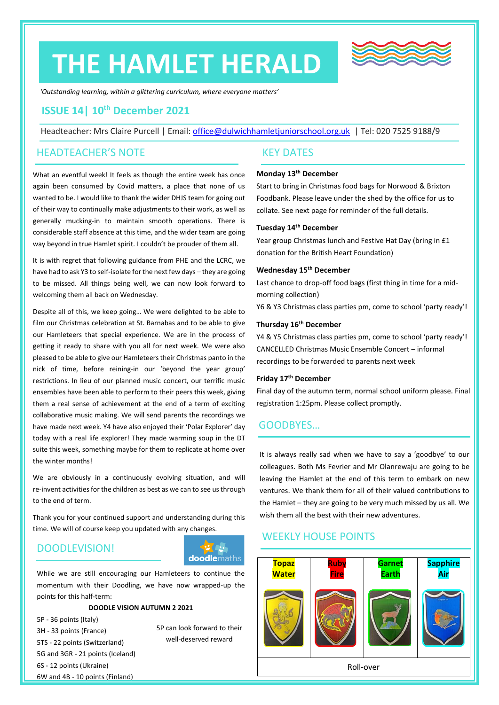# **THE HAMLET HERALD**



*'Outstanding learning, within a glittering curriculum, where everyone matters'*

# **ISSUE 14| 10th December 2021**

Headteacher: Mrs Claire Purcell | Email: [office@dulwichhamletjuniorschool.org.uk](mailto:office@dulwichhamletjuniorschool.org.uk) | Tel: 020 7525 9188/9

### HEADTEACHER'S NOTE

What an eventful week! It feels as though the entire week has once again been consumed by Covid matters, a place that none of us wanted to be. I would like to thank the wider DHJS team for going out of their way to continually make adjustments to their work, as well as generally mucking-in to maintain smooth operations. There is considerable staff absence at this time, and the wider team are going way beyond in true Hamlet spirit. I couldn't be prouder of them all.

It is with regret that following guidance from PHE and the LCRC, we have had to ask Y3 to self-isolate for the next few days – they are going to be missed. All things being well, we can now look forward to welcoming them all back on Wednesday.

Despite all of this, we keep going… We were delighted to be able to film our Christmas celebration at St. Barnabas and to be able to give our Hamleteers that special experience. We are in the process of getting it ready to share with you all for next week. We were also pleased to be able to give our Hamleteers their Christmas panto in the nick of time, before reining-in our 'beyond the year group' restrictions. In lieu of our planned music concert, our terrific music ensembles have been able to perform to their peers this week, giving them a real sense of achievement at the end of a term of exciting collaborative music making. We will send parents the recordings we have made next week. Y4 have also enjoyed their 'Polar Explorer' day today with a real life explorer! They made warming soup in the DT suite this week, something maybe for them to replicate at home over the winter months!

We are obviously in a continuously evolving situation, and will re-invent activities for the children as best as we can to see us through to the end of term.

Thank you for your continued support and understanding during this time. We will of course keep you updated with any changes.

# DOODLEVISION!



While we are still encouraging our Hamleteers to continue the momentum with their Doodling, we have now wrapped-up the points for this half-term:

### **DOODLE VISION AUTUMN 2 2021**

5P - 36 points (Italy) 3H - 33 points (France) 5TS - 22 points (Switzerland) 5G and 3GR - 21 points (Iceland) 6S - 12 points (Ukraine) 6W and 4B - 10 points (Finland) 5P can look forward to their well-deserved reward

### KEY DATES

### **Monday 13 th December**

Start to bring in Christmas food bags for Norwood & Brixton Foodbank. Please leave under the shed by the office for us to collate. See next page for reminder of the full details.

### **Tuesday 14th December**

Year group Christmas lunch and Festive Hat Day (bring in £1 donation for the British Heart Foundation)

### **Wednesday 15th December**

Last chance to drop-off food bags (first thing in time for a midmorning collection) Y6 & Y3 Christmas class parties pm, come to school 'party ready'!

### **Thursday 16th December**

Y4 & Y5 Christmas class parties pm, come to school 'party ready'! CANCELLED Christmas Music Ensemble Concert – informal recordings to be forwarded to parents next week

### **Friday 17 th December**

Final day of the autumn term, normal school uniform please. Final registration 1:25pm. Please collect promptly.

### GOODBYES…

It is always really sad when we have to say a 'goodbye' to our colleagues. Both Ms Fevrier and Mr Olanrewaju are going to be leaving the Hamlet at the end of this term to embark on new ventures. We thank them for all of their valued contributions to the Hamlet – they are going to be very much missed by us all. We wish them all the best with their new adventures.

# WEEKLY HOUSE POINTS